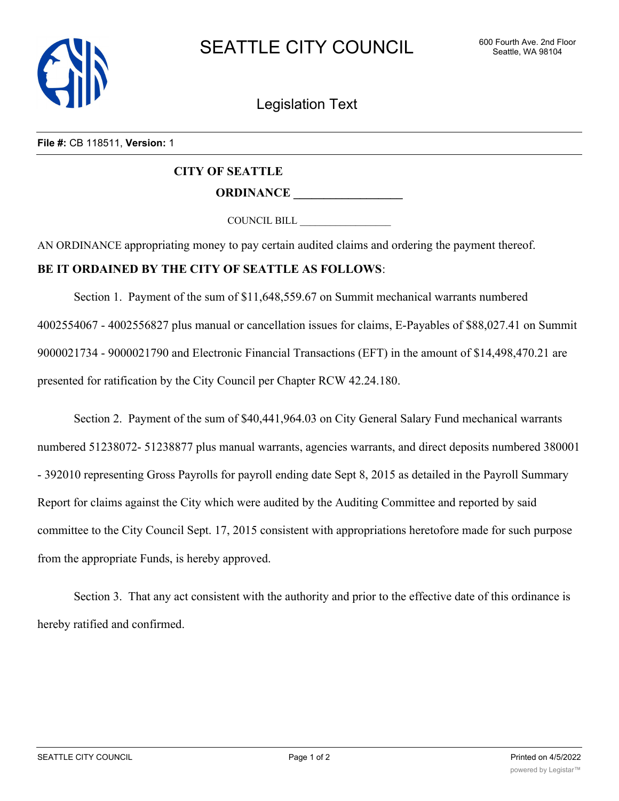

Legislation Text

## **File #:** CB 118511, **Version:** 1

## **CITY OF SEATTLE ORDINANCE \_\_\_\_\_\_\_\_\_\_\_\_\_\_\_\_\_\_**

COUNCIL BILL \_\_\_\_\_\_\_\_\_\_\_\_\_\_\_\_\_\_

AN ORDINANCE appropriating money to pay certain audited claims and ordering the payment thereof.

## **BE IT ORDAINED BY THE CITY OF SEATTLE AS FOLLOWS**:

Section 1. Payment of the sum of \$11,648,559.67 on Summit mechanical warrants numbered 4002554067 - 4002556827 plus manual or cancellation issues for claims, E-Payables of \$88,027.41 on Summit 9000021734 - 9000021790 and Electronic Financial Transactions (EFT) in the amount of \$14,498,470.21 are presented for ratification by the City Council per Chapter RCW 42.24.180.

Section 2. Payment of the sum of \$40,441,964.03 on City General Salary Fund mechanical warrants numbered 51238072- 51238877 plus manual warrants, agencies warrants, and direct deposits numbered 380001 - 392010 representing Gross Payrolls for payroll ending date Sept 8, 2015 as detailed in the Payroll Summary Report for claims against the City which were audited by the Auditing Committee and reported by said committee to the City Council Sept. 17, 2015 consistent with appropriations heretofore made for such purpose from the appropriate Funds, is hereby approved.

Section 3. That any act consistent with the authority and prior to the effective date of this ordinance is hereby ratified and confirmed.